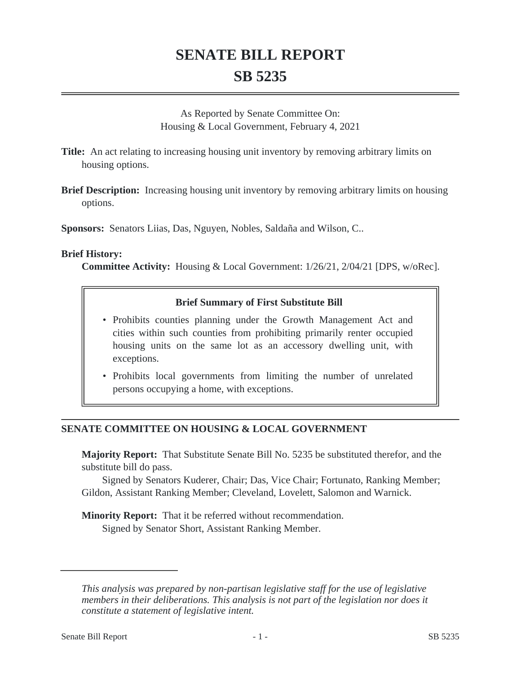# **SENATE BILL REPORT SB 5235**

As Reported by Senate Committee On: Housing & Local Government, February 4, 2021

**Title:** An act relating to increasing housing unit inventory by removing arbitrary limits on housing options.

**Brief Description:** Increasing housing unit inventory by removing arbitrary limits on housing options.

**Sponsors:** Senators Liias, Das, Nguyen, Nobles, Saldaña and Wilson, C..

#### **Brief History:**

**Committee Activity:** Housing & Local Government: 1/26/21, 2/04/21 [DPS, w/oRec].

#### **Brief Summary of First Substitute Bill**

- Prohibits counties planning under the Growth Management Act and cities within such counties from prohibiting primarily renter occupied housing units on the same lot as an accessory dwelling unit, with exceptions.
- Prohibits local governments from limiting the number of unrelated persons occupying a home, with exceptions.

### **SENATE COMMITTEE ON HOUSING & LOCAL GOVERNMENT**

**Majority Report:** That Substitute Senate Bill No. 5235 be substituted therefor, and the substitute bill do pass.

Signed by Senators Kuderer, Chair; Das, Vice Chair; Fortunato, Ranking Member; Gildon, Assistant Ranking Member; Cleveland, Lovelett, Salomon and Warnick.

**Minority Report:** That it be referred without recommendation. Signed by Senator Short, Assistant Ranking Member.

*This analysis was prepared by non-partisan legislative staff for the use of legislative members in their deliberations. This analysis is not part of the legislation nor does it constitute a statement of legislative intent.*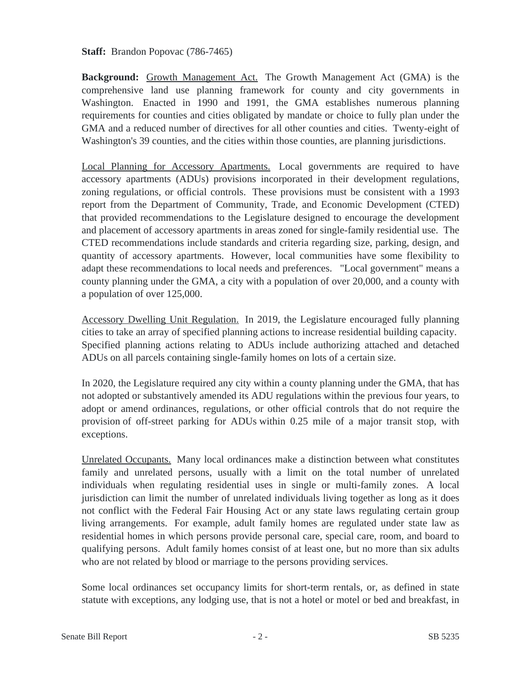**Staff:** Brandon Popovac (786-7465)

**Background:** Growth Management Act. The Growth Management Act (GMA) is the comprehensive land use planning framework for county and city governments in Washington. Enacted in 1990 and 1991, the GMA establishes numerous planning requirements for counties and cities obligated by mandate or choice to fully plan under the GMA and a reduced number of directives for all other counties and cities. Twenty-eight of Washington's 39 counties, and the cities within those counties, are planning jurisdictions.

Local Planning for Accessory Apartments. Local governments are required to have accessory apartments (ADUs) provisions incorporated in their development regulations, zoning regulations, or official controls. These provisions must be consistent with a 1993 report from the Department of Community, Trade, and Economic Development (CTED) that provided recommendations to the Legislature designed to encourage the development and placement of accessory apartments in areas zoned for single-family residential use. The CTED recommendations include standards and criteria regarding size, parking, design, and quantity of accessory apartments. However, local communities have some flexibility to adapt these recommendations to local needs and preferences. "Local government" means a county planning under the GMA, a city with a population of over 20,000, and a county with a population of over 125,000.

Accessory Dwelling Unit Regulation. In 2019, the Legislature encouraged fully planning cities to take an array of specified planning actions to increase residential building capacity. Specified planning actions relating to ADUs include authorizing attached and detached ADUs on all parcels containing single-family homes on lots of a certain size.

In 2020, the Legislature required any city within a county planning under the GMA, that has not adopted or substantively amended its ADU regulations within the previous four years, to adopt or amend ordinances, regulations, or other official controls that do not require the provision of off-street parking for ADUs within 0.25 mile of a major transit stop, with exceptions.

Unrelated Occupants. Many local ordinances make a distinction between what constitutes family and unrelated persons, usually with a limit on the total number of unrelated individuals when regulating residential uses in single or multi-family zones. A local jurisdiction can limit the number of unrelated individuals living together as long as it does not conflict with the Federal Fair Housing Act or any state laws regulating certain group living arrangements. For example, adult family homes are regulated under state law as residential homes in which persons provide personal care, special care, room, and board to qualifying persons. Adult family homes consist of at least one, but no more than six adults who are not related by blood or marriage to the persons providing services.

Some local ordinances set occupancy limits for short-term rentals, or, as defined in state statute with exceptions, any lodging use, that is not a hotel or motel or bed and breakfast, in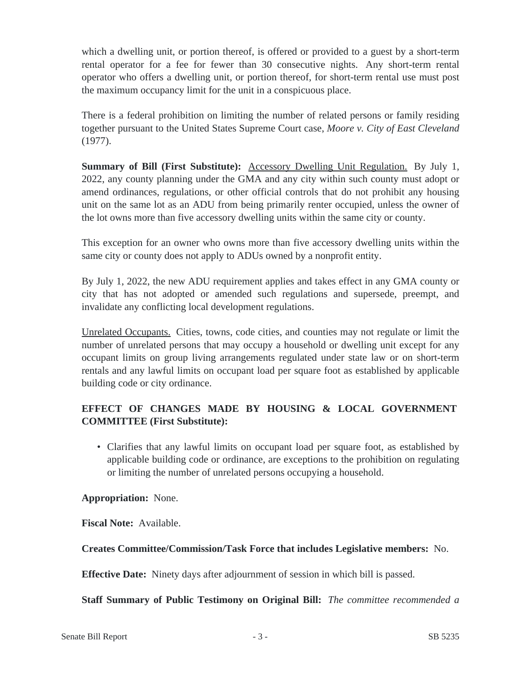which a dwelling unit, or portion thereof, is offered or provided to a guest by a short-term rental operator for a fee for fewer than 30 consecutive nights. Any short-term rental operator who offers a dwelling unit, or portion thereof, for short-term rental use must post the maximum occupancy limit for the unit in a conspicuous place.

There is a federal prohibition on limiting the number of related persons or family residing together pursuant to the United States Supreme Court case, *Moore v. City of East Cleveland* (1977).

**Summary of Bill (First Substitute):** Accessory Dwelling Unit Regulation. By July 1, 2022, any county planning under the GMA and any city within such county must adopt or amend ordinances, regulations, or other official controls that do not prohibit any housing unit on the same lot as an ADU from being primarily renter occupied, unless the owner of the lot owns more than five accessory dwelling units within the same city or county.

This exception for an owner who owns more than five accessory dwelling units within the same city or county does not apply to ADUs owned by a nonprofit entity.

By July 1, 2022, the new ADU requirement applies and takes effect in any GMA county or city that has not adopted or amended such regulations and supersede, preempt, and invalidate any conflicting local development regulations.

Unrelated Occupants. Cities, towns, code cities, and counties may not regulate or limit the number of unrelated persons that may occupy a household or dwelling unit except for any occupant limits on group living arrangements regulated under state law or on short-term rentals and any lawful limits on occupant load per square foot as established by applicable building code or city ordinance.

## **EFFECT OF CHANGES MADE BY HOUSING & LOCAL GOVERNMENT COMMITTEE (First Substitute):**

• Clarifies that any lawful limits on occupant load per square foot, as established by applicable building code or ordinance, are exceptions to the prohibition on regulating or limiting the number of unrelated persons occupying a household.

### **Appropriation:** None.

**Fiscal Note:** Available.

## **Creates Committee/Commission/Task Force that includes Legislative members:** No.

**Effective Date:** Ninety days after adjournment of session in which bill is passed.

**Staff Summary of Public Testimony on Original Bill:** *The committee recommended a*